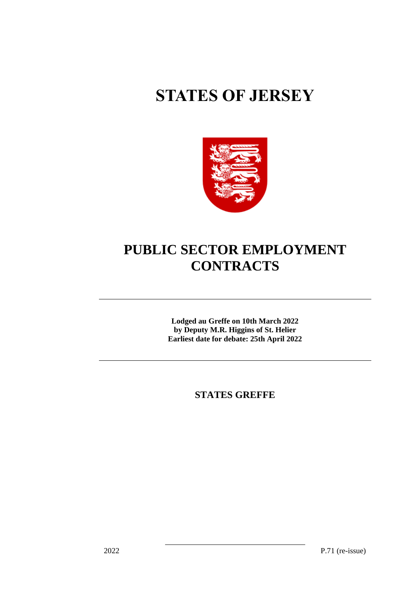# **STATES OF JERSEY**



## **PUBLIC SECTOR EMPLOYMENT CONTRACTS**

**Lodged au Greffe on 10th March 2022 by Deputy M.R. Higgins of St. Helier Earliest date for debate: 25th April 2022**

**STATES GREFFE**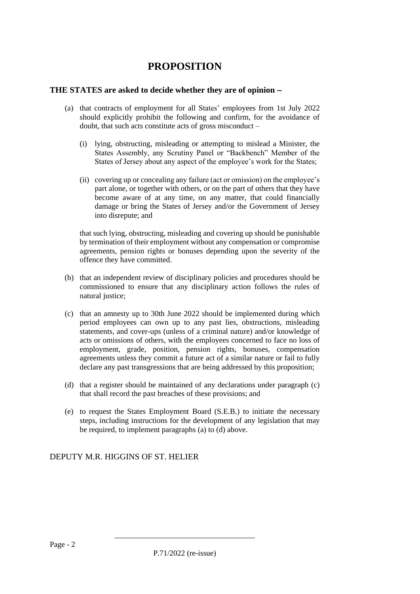### **PROPOSITION**

#### **THE STATES are asked to decide whether they are of opinion** −

- (a) that contracts of employment for all States' employees from 1st July 2022 should explicitly prohibit the following and confirm, for the avoidance of doubt, that such acts constitute acts of gross misconduct –
	- (i) lying, obstructing, misleading or attempting to mislead a Minister, the States Assembly, any Scrutiny Panel or "Backbench" Member of the States of Jersey about any aspect of the employee's work for the States;
	- (ii) covering up or concealing any failure (act or omission) on the employee's part alone, or together with others, or on the part of others that they have become aware of at any time, on any matter, that could financially damage or bring the States of Jersey and/or the Government of Jersey into disrepute; and

that such lying, obstructing, misleading and covering up should be punishable by termination of their employment without any compensation or compromise agreements, pension rights or bonuses depending upon the severity of the offence they have committed.

- (b) that an independent review of disciplinary policies and procedures should be commissioned to ensure that any disciplinary action follows the rules of natural justice;
- (c) that an amnesty up to 30th June 2022 should be implemented during which period employees can own up to any past lies, obstructions, misleading statements, and cover-ups (unless of a criminal nature) and/or knowledge of acts or omissions of others, with the employees concerned to face no loss of employment, grade, position, pension rights, bonuses, compensation agreements unless they commit a future act of a similar nature or fail to fully declare any past transgressions that are being addressed by this proposition;
- (d) that a register should be maintained of any declarations under paragraph (c) that shall record the past breaches of these provisions; and
- (e) to request the States Employment Board (S.E.B.) to initiate the necessary steps, including instructions for the development of any legislation that may be required, to implement paragraphs (a) to (d) above.

#### DEPUTY M.R. HIGGINS OF ST. HELIER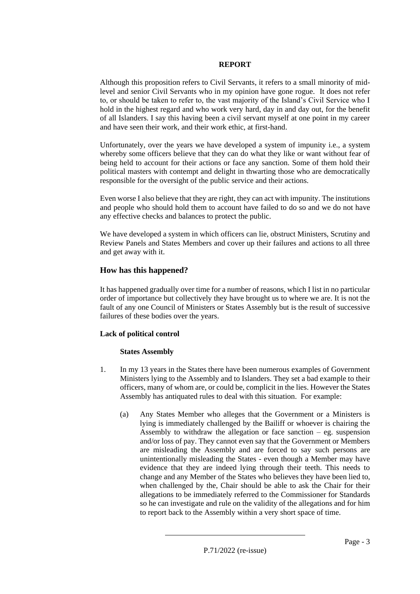#### **REPORT**

Although this proposition refers to Civil Servants, it refers to a small minority of midlevel and senior Civil Servants who in my opinion have gone rogue. It does not refer to, or should be taken to refer to, the vast majority of the Island's Civil Service who I hold in the highest regard and who work very hard, day in and day out, for the benefit of all Islanders. I say this having been a civil servant myself at one point in my career and have seen their work, and their work ethic, at first-hand.

Unfortunately, over the years we have developed a system of impunity i.e., a system whereby some officers believe that they can do what they like or want without fear of being held to account for their actions or face any sanction. Some of them hold their political masters with contempt and delight in thwarting those who are democratically responsible for the oversight of the public service and their actions.

Even worse I also believe that they are right, they can act with impunity. The institutions and people who should hold them to account have failed to do so and we do not have any effective checks and balances to protect the public.

We have developed a system in which officers can lie, obstruct Ministers, Scrutiny and Review Panels and States Members and cover up their failures and actions to all three and get away with it.

#### **How has this happened?**

It has happened gradually over time for a number of reasons, which I list in no particular order of importance but collectively they have brought us to where we are. It is not the fault of any one Council of Ministers or States Assembly but is the result of successive failures of these bodies over the years.

#### **Lack of political control**

#### **States Assembly**

- 1. In my 13 years in the States there have been numerous examples of Government Ministers lying to the Assembly and to Islanders. They set a bad example to their officers, many of whom are, or could be, complicit in the lies. However the States Assembly has antiquated rules to deal with this situation. For example:
	- (a) Any States Member who alleges that the Government or a Ministers is lying is immediately challenged by the Bailiff or whoever is chairing the Assembly to withdraw the allegation or face sanction  $-$  eg. suspension and/or loss of pay. They cannot even say that the Government or Members are misleading the Assembly and are forced to say such persons are unintentionally misleading the States - even though a Member may have evidence that they are indeed lying through their teeth. This needs to change and any Member of the States who believes they have been lied to, when challenged by the, Chair should be able to ask the Chair for their allegations to be immediately referred to the Commissioner for Standards so he can investigate and rule on the validity of the allegations and for him to report back to the Assembly within a very short space of time.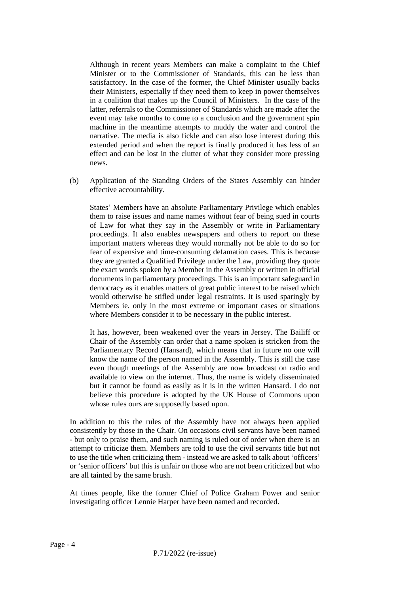Although in recent years Members can make a complaint to the Chief Minister or to the Commissioner of Standards, this can be less than satisfactory. In the case of the former, the Chief Minister usually backs their Ministers, especially if they need them to keep in power themselves in a coalition that makes up the Council of Ministers. In the case of the latter, referrals to the Commissioner of Standards which are made after the event may take months to come to a conclusion and the government spin machine in the meantime attempts to muddy the water and control the narrative. The media is also fickle and can also lose interest during this extended period and when the report is finally produced it has less of an effect and can be lost in the clutter of what they consider more pressing news.

(b) Application of the Standing Orders of the States Assembly can hinder effective accountability.

States' Members have an absolute Parliamentary Privilege which enables them to raise issues and name names without fear of being sued in courts of Law for what they say in the Assembly or write in Parliamentary proceedings. It also enables newspapers and others to report on these important matters whereas they would normally not be able to do so for fear of expensive and time-consuming defamation cases. This is because they are granted a Qualified Privilege under the Law, providing they quote the exact words spoken by a Member in the Assembly or written in official documents in parliamentary proceedings. This is an important safeguard in democracy as it enables matters of great public interest to be raised which would otherwise be stifled under legal restraints. It is used sparingly by Members ie. only in the most extreme or important cases or situations where Members consider it to be necessary in the public interest.

It has, however, been weakened over the years in Jersey. The Bailiff or Chair of the Assembly can order that a name spoken is stricken from the Parliamentary Record (Hansard), which means that in future no one will know the name of the person named in the Assembly. This is still the case even though meetings of the Assembly are now broadcast on radio and available to view on the internet. Thus, the name is widely disseminated but it cannot be found as easily as it is in the written Hansard. I do not believe this procedure is adopted by the UK House of Commons upon whose rules ours are supposedly based upon.

In addition to this the rules of the Assembly have not always been applied consistently by those in the Chair. On occasions civil servants have been named - but only to praise them, and such naming is ruled out of order when there is an attempt to criticize them. Members are told to use the civil servants title but not to use the title when criticizing them - instead we are asked to talk about 'officers' or 'senior officers' but this is unfair on those who are not been criticized but who are all tainted by the same brush.

At times people, like the former Chief of Police Graham Power and senior investigating officer Lennie Harper have been named and recorded.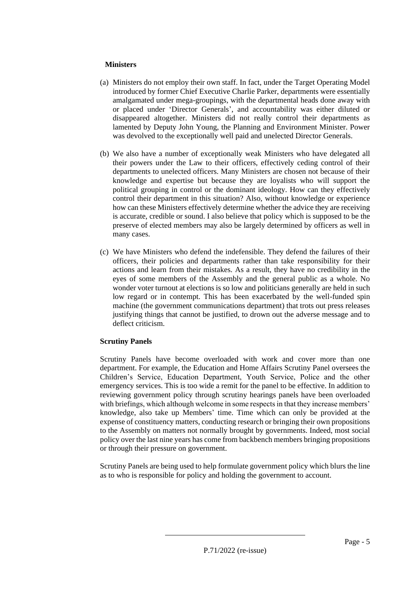#### **Ministers**

- (a) Ministers do not employ their own staff. In fact, under the Target Operating Model introduced by former Chief Executive Charlie Parker, departments were essentially amalgamated under mega-groupings, with the departmental heads done away with or placed under 'Director Generals', and accountability was either diluted or disappeared altogether. Ministers did not really control their departments as lamented by Deputy John Young, the Planning and Environment Minister. Power was devolved to the exceptionally well paid and unelected Director Generals.
- (b) We also have a number of exceptionally weak Ministers who have delegated all their powers under the Law to their officers, effectively ceding control of their departments to unelected officers. Many Ministers are chosen not because of their knowledge and expertise but because they are loyalists who will support the political grouping in control or the dominant ideology. How can they effectively control their department in this situation? Also, without knowledge or experience how can these Ministers effectively determine whether the advice they are receiving is accurate, credible or sound. I also believe that policy which is supposed to be the preserve of elected members may also be largely determined by officers as well in many cases.
- (c) We have Ministers who defend the indefensible. They defend the failures of their officers, their policies and departments rather than take responsibility for their actions and learn from their mistakes. As a result, they have no credibility in the eyes of some members of the Assembly and the general public as a whole. No wonder voter turnout at elections is so low and politicians generally are held in such low regard or in contempt. This has been exacerbated by the well-funded spin machine (the government communications department) that trots out press releases justifying things that cannot be justified, to drown out the adverse message and to deflect criticism.

#### **Scrutiny Panels**

Scrutiny Panels have become overloaded with work and cover more than one department. For example, the Education and Home Affairs Scrutiny Panel oversees the Children's Service, Education Department, Youth Service, Police and the other emergency services. This is too wide a remit for the panel to be effective. In addition to reviewing government policy through scrutiny hearings panels have been overloaded with briefings, which although welcome in some respects in that they increase members' knowledge, also take up Members' time. Time which can only be provided at the expense of constituency matters, conducting research or bringing their own propositions to the Assembly on matters not normally brought by governments. Indeed, most social policy over the last nine years has come from backbench members bringing propositions or through their pressure on government.

Scrutiny Panels are being used to help formulate government policy which blurs the line as to who is responsible for policy and holding the government to account.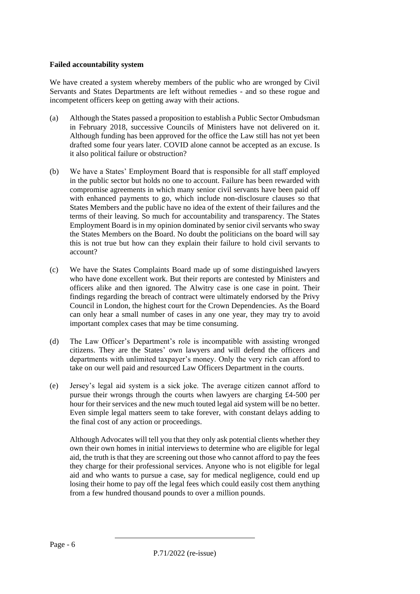#### **Failed accountability system**

We have created a system whereby members of the public who are wronged by Civil Servants and States Departments are left without remedies - and so these rogue and incompetent officers keep on getting away with their actions.

- (a) Although the States passed a proposition to establish a Public Sector Ombudsman in February 2018, successive Councils of Ministers have not delivered on it. Although funding has been approved for the office the Law still has not yet been drafted some four years later. COVID alone cannot be accepted as an excuse. Is it also political failure or obstruction?
- (b) We have a States' Employment Board that is responsible for all staff employed in the public sector but holds no one to account. Failure has been rewarded with compromise agreements in which many senior civil servants have been paid off with enhanced payments to go, which include non-disclosure clauses so that States Members and the public have no idea of the extent of their failures and the terms of their leaving. So much for accountability and transparency. The States Employment Board is in my opinion dominated by senior civil servants who sway the States Members on the Board. No doubt the politicians on the board will say this is not true but how can they explain their failure to hold civil servants to account?
- (c) We have the States Complaints Board made up of some distinguished lawyers who have done excellent work. But their reports are contested by Ministers and officers alike and then ignored. The Alwitry case is one case in point. Their findings regarding the breach of contract were ultimately endorsed by the Privy Council in London, the highest court for the Crown Dependencies. As the Board can only hear a small number of cases in any one year, they may try to avoid important complex cases that may be time consuming.
- (d) The Law Officer's Department's role is incompatible with assisting wronged citizens. They are the States' own lawyers and will defend the officers and departments with unlimited taxpayer's money. Only the very rich can afford to take on our well paid and resourced Law Officers Department in the courts.
- (e) Jersey's legal aid system is a sick joke. The average citizen cannot afford to pursue their wrongs through the courts when lawyers are charging £4-500 per hour for their services and the new much touted legal aid system will be no better. Even simple legal matters seem to take forever, with constant delays adding to the final cost of any action or proceedings.

Although Advocates will tell you that they only ask potential clients whether they own their own homes in initial interviews to determine who are eligible for legal aid, the truth is that they are screening out those who cannot afford to pay the fees they charge for their professional services. Anyone who is not eligible for legal aid and who wants to pursue a case, say for medical negligence, could end up losing their home to pay off the legal fees which could easily cost them anything from a few hundred thousand pounds to over a million pounds.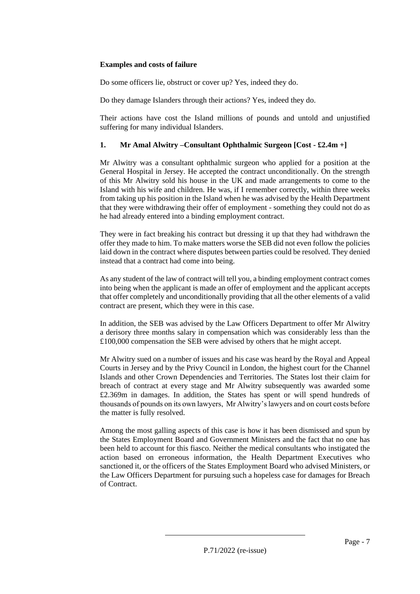#### **Examples and costs of failure**

Do some officers lie, obstruct or cover up? Yes, indeed they do.

Do they damage Islanders through their actions? Yes, indeed they do.

Their actions have cost the Island millions of pounds and untold and unjustified suffering for many individual Islanders.

#### **1. Mr Amal Alwitry –Consultant Ophthalmic Surgeon [Cost - £2.4m +]**

Mr Alwitry was a consultant ophthalmic surgeon who applied for a position at the General Hospital in Jersey. He accepted the contract unconditionally. On the strength of this Mr Alwitry sold his house in the UK and made arrangements to come to the Island with his wife and children. He was, if I remember correctly, within three weeks from taking up his position in the Island when he was advised by the Health Department that they were withdrawing their offer of employment - something they could not do as he had already entered into a binding employment contract.

They were in fact breaking his contract but dressing it up that they had withdrawn the offer they made to him. To make matters worse the SEB did not even follow the policies laid down in the contract where disputes between parties could be resolved. They denied instead that a contract had come into being.

As any student of the law of contract will tell you, a binding employment contract comes into being when the applicant is made an offer of employment and the applicant accepts that offer completely and unconditionally providing that all the other elements of a valid contract are present, which they were in this case.

In addition, the SEB was advised by the Law Officers Department to offer Mr Alwitry a derisory three months salary in compensation which was considerably less than the £100,000 compensation the SEB were advised by others that he might accept.

Mr Alwitry sued on a number of issues and his case was heard by the Royal and Appeal Courts in Jersey and by the Privy Council in London, the highest court for the Channel Islands and other Crown Dependencies and Territories. The States lost their claim for breach of contract at every stage and Mr Alwitry subsequently was awarded some £2.369m in damages. In addition, the States has spent or will spend hundreds of thousands of pounds on its own lawyers, Mr Alwitry's lawyers and on court costs before the matter is fully resolved.

Among the most galling aspects of this case is how it has been dismissed and spun by the States Employment Board and Government Ministers and the fact that no one has been held to account for this fiasco. Neither the medical consultants who instigated the action based on erroneous information, the Health Department Executives who sanctioned it, or the officers of the States Employment Board who advised Ministers, or the Law Officers Department for pursuing such a hopeless case for damages for Breach of Contract.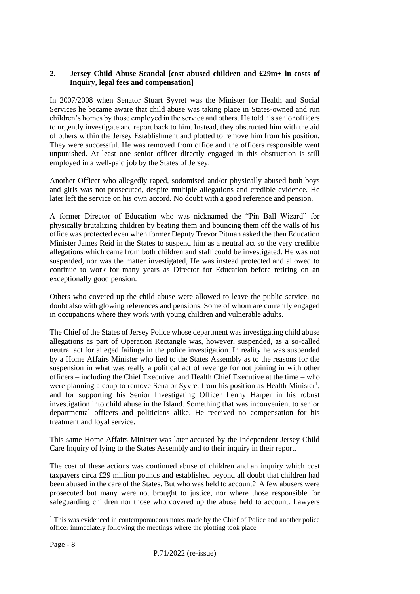#### **2. Jersey Child Abuse Scandal [cost abused children and £29m+ in costs of Inquiry, legal fees and compensation]**

In 2007/2008 when Senator Stuart Syvret was the Minister for Health and Social Services he became aware that child abuse was taking place in States-owned and run children's homes by those employed in the service and others. He told his senior officers to urgently investigate and report back to him. Instead, they obstructed him with the aid of others within the Jersey Establishment and plotted to remove him from his position. They were successful. He was removed from office and the officers responsible went unpunished. At least one senior officer directly engaged in this obstruction is still employed in a well-paid job by the States of Jersey.

Another Officer who allegedly raped, sodomised and/or physically abused both boys and girls was not prosecuted, despite multiple allegations and credible evidence. He later left the service on his own accord. No doubt with a good reference and pension.

A former Director of Education who was nicknamed the "Pin Ball Wizard" for physically brutalizing children by beating them and bouncing them off the walls of his office was protected even when former Deputy Trevor Pitman asked the then Education Minister James Reid in the States to suspend him as a neutral act so the very credible allegations which came from both children and staff could be investigated. He was not suspended, nor was the matter investigated, He was instead protected and allowed to continue to work for many years as Director for Education before retiring on an exceptionally good pension.

Others who covered up the child abuse were allowed to leave the public service, no doubt also with glowing references and pensions. Some of whom are currently engaged in occupations where they work with young children and vulnerable adults.

The Chief of the States of Jersey Police whose department was investigating child abuse allegations as part of Operation Rectangle was, however, suspended, as a so-called neutral act for alleged failings in the police investigation. In reality he was suspended by a Home Affairs Minister who lied to the States Assembly as to the reasons for the suspension in what was really a political act of revenge for not joining in with other officers – including the Chief Executive and Health Chief Executive at the time – who were planning a coup to remove Senator Syvret from his position as Health Minister<sup>1</sup>, and for supporting his Senior Investigating Officer Lenny Harper in his robust investigation into child abuse in the Island. Something that was inconvenient to senior departmental officers and politicians alike. He received no compensation for his treatment and loyal service.

This same Home Affairs Minister was later accused by the Independent Jersey Child Care Inquiry of lying to the States Assembly and to their inquiry in their report.

The cost of these actions was continued abuse of children and an inquiry which cost taxpayers circa £29 million pounds and established beyond all doubt that children had been abused in the care of the States. But who was held to account? A few abusers were prosecuted but many were not brought to justice, nor where those responsible for safeguarding children nor those who covered up the abuse held to account. Lawyers

<sup>&</sup>lt;sup>1</sup> This was evidenced in contemporaneous notes made by the Chief of Police and another police officer immediately following the meetings where the plotting took place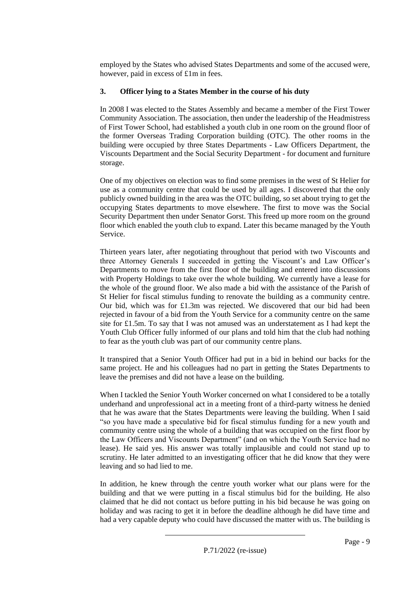employed by the States who advised States Departments and some of the accused were, however, paid in excess of £1m in fees.

#### **3. Officer lying to a States Member in the course of his duty**

In 2008 I was elected to the States Assembly and became a member of the First Tower Community Association. The association, then under the leadership of the Headmistress of First Tower School, had established a youth club in one room on the ground floor of the former Overseas Trading Corporation building (OTC). The other rooms in the building were occupied by three States Departments - Law Officers Department, the Viscounts Department and the Social Security Department - for document and furniture storage.

One of my objectives on election was to find some premises in the west of St Helier for use as a community centre that could be used by all ages. I discovered that the only publicly owned building in the area was the OTC building, so set about trying to get the occupying States departments to move elsewhere. The first to move was the Social Security Department then under Senator Gorst. This freed up more room on the ground floor which enabled the youth club to expand. Later this became managed by the Youth Service.

Thirteen years later, after negotiating throughout that period with two Viscounts and three Attorney Generals I succeeded in getting the Viscount's and Law Officer's Departments to move from the first floor of the building and entered into discussions with Property Holdings to take over the whole building. We currently have a lease for the whole of the ground floor. We also made a bid with the assistance of the Parish of St Helier for fiscal stimulus funding to renovate the building as a community centre. Our bid, which was for £1.3m was rejected. We discovered that our bid had been rejected in favour of a bid from the Youth Service for a community centre on the same site for £1.5m. To say that I was not amused was an understatement as I had kept the Youth Club Officer fully informed of our plans and told him that the club had nothing to fear as the youth club was part of our community centre plans.

It transpired that a Senior Youth Officer had put in a bid in behind our backs for the same project. He and his colleagues had no part in getting the States Departments to leave the premises and did not have a lease on the building.

When I tackled the Senior Youth Worker concerned on what I considered to be a totally underhand and unprofessional act in a meeting front of a third-party witness he denied that he was aware that the States Departments were leaving the building. When I said "so you have made a speculative bid for fiscal stimulus funding for a new youth and community centre using the whole of a building that was occupied on the first floor by the Law Officers and Viscounts Department" (and on which the Youth Service had no lease). He said yes. His answer was totally implausible and could not stand up to scrutiny. He later admitted to an investigating officer that he did know that they were leaving and so had lied to me.

In addition, he knew through the centre youth worker what our plans were for the building and that we were putting in a fiscal stimulus bid for the building. He also claimed that he did not contact us before putting in his bid because he was going on holiday and was racing to get it in before the deadline although he did have time and had a very capable deputy who could have discussed the matter with us. The building is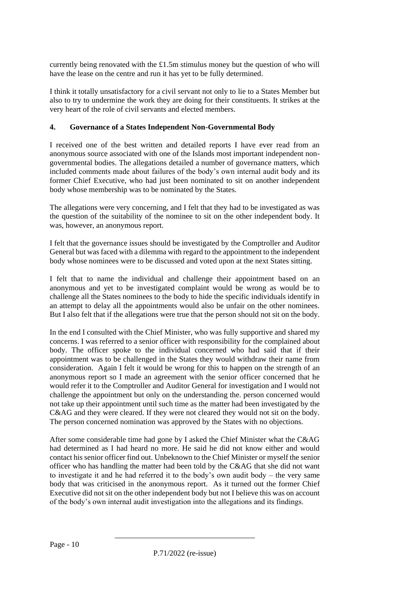currently being renovated with the £1.5m stimulus money but the question of who will have the lease on the centre and run it has yet to be fully determined.

I think it totally unsatisfactory for a civil servant not only to lie to a States Member but also to try to undermine the work they are doing for their constituents. It strikes at the very heart of the role of civil servants and elected members.

#### **4. Governance of a States Independent Non-Governmental Body**

I received one of the best written and detailed reports I have ever read from an anonymous source associated with one of the Islands most important independent nongovernmental bodies. The allegations detailed a number of governance matters, which included comments made about failures of the body's own internal audit body and its former Chief Executive, who had just been nominated to sit on another independent body whose membership was to be nominated by the States.

The allegations were very concerning, and I felt that they had to be investigated as was the question of the suitability of the nominee to sit on the other independent body. It was, however, an anonymous report.

I felt that the governance issues should be investigated by the Comptroller and Auditor General but was faced with a dilemma with regard to the appointment to the independent body whose nominees were to be discussed and voted upon at the next States sitting.

I felt that to name the individual and challenge their appointment based on an anonymous and yet to be investigated complaint would be wrong as would be to challenge all the States nominees to the body to hide the specific individuals identify in an attempt to delay all the appointments would also be unfair on the other nominees. But I also felt that if the allegations were true that the person should not sit on the body.

In the end I consulted with the Chief Minister, who was fully supportive and shared my concerns. I was referred to a senior officer with responsibility for the complained about body. The officer spoke to the individual concerned who had said that if their appointment was to be challenged in the States they would withdraw their name from consideration. Again I felt it would be wrong for this to happen on the strength of an anonymous report so I made an agreement with the senior officer concerned that he would refer it to the Comptroller and Auditor General for investigation and I would not challenge the appointment but only on the understanding the. person concerned would not take up their appointment until such time as the matter had been investigated by the C&AG and they were cleared. If they were not cleared they would not sit on the body. The person concerned nomination was approved by the States with no objections.

After some considerable time had gone by I asked the Chief Minister what the C&AG had determined as I had heard no more. He said he did not know either and would contact his senior officer find out. Unbeknown to the Chief Minister or myself the senior officer who has handling the matter had been told by the C&AG that she did not want to investigate it and he had referred it to the body's own audit body – the very same body that was criticised in the anonymous report. As it turned out the former Chief Executive did not sit on the other independent body but not I believe this was on account of the body's own internal audit investigation into the allegations and its findings.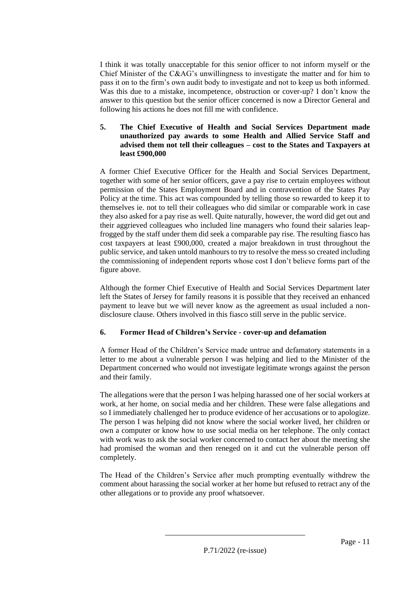I think it was totally unacceptable for this senior officer to not inform myself or the Chief Minister of the C&AG's unwillingness to investigate the matter and for him to pass it on to the firm's own audit body to investigate and not to keep us both informed. Was this due to a mistake, incompetence, obstruction or cover-up? I don't know the answer to this question but the senior officer concerned is now a Director General and following his actions he does not fill me with confidence.

#### **5. The Chief Executive of Health and Social Services Department made unauthorized pay awards to some Health and Allied Service Staff and advised them not tell their colleagues – cost to the States and Taxpayers at least £900,000**

A former Chief Executive Officer for the Health and Social Services Department, together with some of her senior officers, gave a pay rise to certain employees without permission of the States Employment Board and in contravention of the States Pay Policy at the time. This act was compounded by telling those so rewarded to keep it to themselves ie. not to tell their colleagues who did similar or comparable work in case they also asked for a pay rise as well. Quite naturally, however, the word did get out and their aggrieved colleagues who included line managers who found their salaries leapfrogged by the staff under them did seek a comparable pay rise. The resulting fiasco has cost taxpayers at least £900,000, created a major breakdown in trust throughout the public service, and taken untold manhours to try to resolve the mess so created including the commissioning of independent reports whose cost I don't believe forms part of the figure above.

Although the former Chief Executive of Health and Social Services Department later left the States of Jersey for family reasons it is possible that they received an enhanced payment to leave but we will never know as the agreement as usual included a nondisclosure clause. Others involved in this fiasco still serve in the public service.

#### **6. Former Head of Children's Service - cover-up and defamation**

A former Head of the Children's Service made untrue and defamatory statements in a letter to me about a vulnerable person I was helping and lied to the Minister of the Department concerned who would not investigate legitimate wrongs against the person and their family.

The allegations were that the person I was helping harassed one of her social workers at work, at her home, on social media and her children. These were false allegations and so I immediately challenged her to produce evidence of her accusations or to apologize. The person I was helping did not know where the social worker lived, her children or own a computer or know how to use social media on her telephone. The only contact with work was to ask the social worker concerned to contact her about the meeting she had promised the woman and then reneged on it and cut the vulnerable person off completely.

The Head of the Children's Service after much prompting eventually withdrew the comment about harassing the social worker at her home but refused to retract any of the other allegations or to provide any proof whatsoever.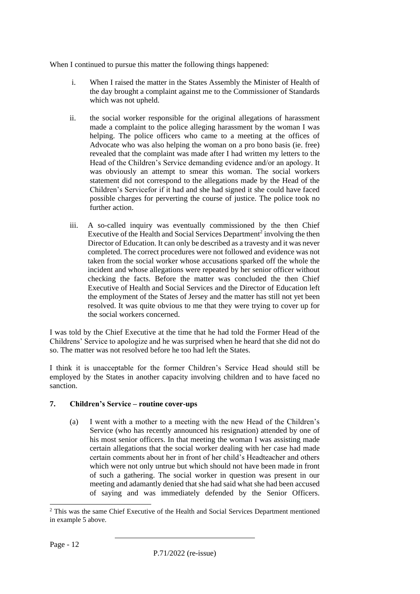When I continued to pursue this matter the following things happened:

- i. When I raised the matter in the States Assembly the Minister of Health of the day brought a complaint against me to the Commissioner of Standards which was not upheld.
- ii. the social worker responsible for the original allegations of harassment made a complaint to the police alleging harassment by the woman I was helping. The police officers who came to a meeting at the offices of Advocate who was also helping the woman on a pro bono basis (ie. free) revealed that the complaint was made after I had written my letters to the Head of the Children's Service demanding evidence and/or an apology. It was obviously an attempt to smear this woman. The social workers statement did not correspond to the allegations made by the Head of the Children's Servicefor if it had and she had signed it she could have faced possible charges for perverting the course of justice. The police took no further action.
- iii. A so-called inquiry was eventually commissioned by the then Chief Executive of the Health and Social Services Department<sup>2</sup> involving the then Director of Education. It can only be described as a travesty and it was never completed. The correct procedures were not followed and evidence was not taken from the social worker whose accusations sparked off the whole the incident and whose allegations were repeated by her senior officer without checking the facts. Before the matter was concluded the then Chief Executive of Health and Social Services and the Director of Education left the employment of the States of Jersey and the matter has still not yet been resolved. It was quite obvious to me that they were trying to cover up for the social workers concerned.

I was told by the Chief Executive at the time that he had told the Former Head of the Childrens' Service to apologize and he was surprised when he heard that she did not do so. The matter was not resolved before he too had left the States.

I think it is unacceptable for the former Children's Service Head should still be employed by the States in another capacity involving children and to have faced no sanction.

#### **7. Children's Service – routine cover-ups**

(a) I went with a mother to a meeting with the new Head of the Children's Service (who has recently announced his resignation) attended by one of his most senior officers. In that meeting the woman I was assisting made certain allegations that the social worker dealing with her case had made certain comments about her in front of her child's Headteacher and others which were not only untrue but which should not have been made in front of such a gathering. The social worker in question was present in our meeting and adamantly denied that she had said what she had been accused of saying and was immediately defended by the Senior Officers.

<sup>2</sup> This was the same Chief Executive of the Health and Social Services Department mentioned in example 5 above.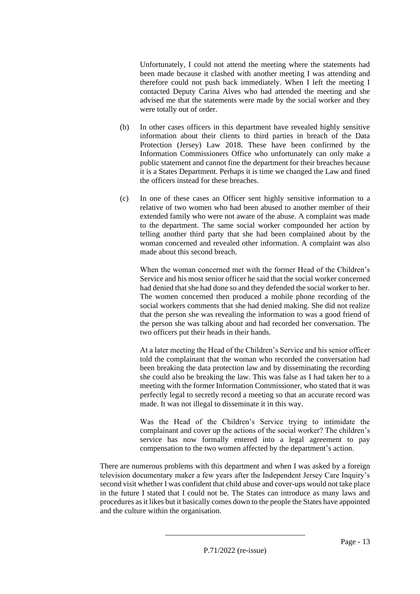Unfortunately, I could not attend the meeting where the statements had been made because it clashed with another meeting I was attending and therefore could not push back immediately. When I left the meeting I contacted Deputy Carina Alves who had attended the meeting and she advised me that the statements were made by the social worker and they were totally out of order.

- (b) In other cases officers in this department have revealed highly sensitive information about their clients to third parties in breach of the Data Protection (Jersey) Law 2018. These have been confirmed by the Information Commissioners Office who unfortunately can only make a public statement and cannot fine the department for their breaches because it is a States Department. Perhaps it is time we changed the Law and fined the officers instead for these breaches.
- (c) In one of these cases an Officer sent highly sensitive information to a relative of two women who had been abused to another member of their extended family who were not aware of the abuse. A complaint was made to the department. The same social worker compounded her action by telling another third party that she had been complained about by the woman concerned and revealed other information. A complaint was also made about this second breach.

When the woman concerned met with the former Head of the Children's Service and his most senior officer he said that the social worker concerned had denied that she had done so and they defended the social worker to her. The women concerned then produced a mobile phone recording of the social workers comments that she had denied making. She did not realize that the person she was revealing the information to was a good friend of the person she was talking about and had recorded her conversation. The two officers put their heads in their hands.

At a later meeting the Head of the Children's Service and his senior officer told the complainant that the woman who recorded the conversation had been breaking the data protection law and by disseminating the recording she could also be breaking the law. This was false as I had taken her to a meeting with the former Information Commissioner, who stated that it was perfectly legal to secretly record a meeting so that an accurate record was made. It was not illegal to disseminate it in this way.

Was the Head of the Children's Service trying to intimidate the complainant and cover up the actions of the social worker? The children's service has now formally entered into a legal agreement to pay compensation to the two women affected by the department's action.

There are numerous problems with this department and when I was asked by a foreign television documentary maker a few years after the Independent Jersey Care Inquiry's second visit whether I was confident that child abuse and cover-ups would not take place in the future I stated that I could not be. The States can introduce as many laws and procedures as it likes but it basically comes down to the people the States have appointed and the culture within the organisation.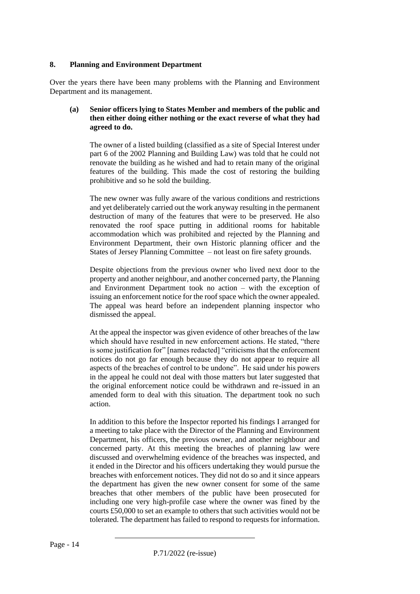#### **8. Planning and Environment Department**

Over the years there have been many problems with the Planning and Environment Department and its management.

#### **(a) Senior officers lying to States Member and members of the public and then either doing either nothing or the exact reverse of what they had agreed to do.**

The owner of a listed building (classified as a site of Special Interest under part 6 of the 2002 Planning and Building Law) was told that he could not renovate the building as he wished and had to retain many of the original features of the building. This made the cost of restoring the building prohibitive and so he sold the building.

The new owner was fully aware of the various conditions and restrictions and yet deliberately carried out the work anyway resulting in the permanent destruction of many of the features that were to be preserved. He also renovated the roof space putting in additional rooms for habitable accommodation which was prohibited and rejected by the Planning and Environment Department, their own Historic planning officer and the States of Jersey Planning Committee – not least on fire safety grounds.

Despite objections from the previous owner who lived next door to the property and another neighbour, and another concerned party, the Planning and Environment Department took no action – with the exception of issuing an enforcement notice for the roof space which the owner appealed. The appeal was heard before an independent planning inspector who dismissed the appeal.

At the appeal the inspector was given evidence of other breaches of the law which should have resulted in new enforcement actions. He stated, "there is some justification for" [names redacted] "criticisms that the enforcement notices do not go far enough because they do not appear to require all aspects of the breaches of control to be undone". He said under his powers in the appeal he could not deal with those matters but later suggested that the original enforcement notice could be withdrawn and re-issued in an amended form to deal with this situation. The department took no such action.

In addition to this before the Inspector reported his findings I arranged for a meeting to take place with the Director of the Planning and Environment Department, his officers, the previous owner, and another neighbour and concerned party. At this meeting the breaches of planning law were discussed and overwhelming evidence of the breaches was inspected, and it ended in the Director and his officers undertaking they would pursue the breaches with enforcement notices. They did not do so and it since appears the department has given the new owner consent for some of the same breaches that other members of the public have been prosecuted for including one very high-profile case where the owner was fined by the courts £50,000 to set an example to others that such activities would not be tolerated. The department has failed to respond to requests for information.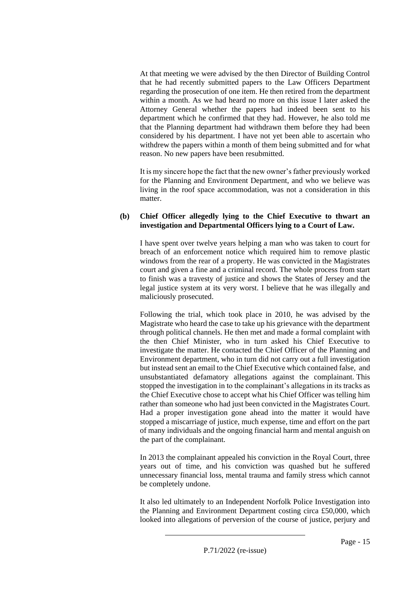At that meeting we were advised by the then Director of Building Control that he had recently submitted papers to the Law Officers Department regarding the prosecution of one item. He then retired from the department within a month. As we had heard no more on this issue I later asked the Attorney General whether the papers had indeed been sent to his department which he confirmed that they had. However, he also told me that the Planning department had withdrawn them before they had been considered by his department. I have not yet been able to ascertain who withdrew the papers within a month of them being submitted and for what reason. No new papers have been resubmitted.

It is my sincere hope the fact that the new owner's father previously worked for the Planning and Environment Department, and who we believe was living in the roof space accommodation, was not a consideration in this matter.

#### **(b) Chief Officer allegedly lying to the Chief Executive to thwart an investigation and Departmental Officers lying to a Court of Law.**

I have spent over twelve years helping a man who was taken to court for breach of an enforcement notice which required him to remove plastic windows from the rear of a property. He was convicted in the Magistrates court and given a fine and a criminal record. The whole process from start to finish was a travesty of justice and shows the States of Jersey and the legal justice system at its very worst. I believe that he was illegally and maliciously prosecuted.

Following the trial, which took place in 2010, he was advised by the Magistrate who heard the case to take up his grievance with the department through political channels. He then met and made a formal complaint with the then Chief Minister, who in turn asked his Chief Executive to investigate the matter. He contacted the Chief Officer of the Planning and Environment department, who in turn did not carry out a full investigation but instead sent an email to the Chief Executive which contained false, and unsubstantiated defamatory allegations against the complainant. This stopped the investigation in to the complainant's allegations in its tracks as the Chief Executive chose to accept what his Chief Officer was telling him rather than someone who had just been convicted in the Magistrates Court. Had a proper investigation gone ahead into the matter it would have stopped a miscarriage of justice, much expense, time and effort on the part of many individuals and the ongoing financial harm and mental anguish on the part of the complainant.

In 2013 the complainant appealed his conviction in the Royal Court, three years out of time, and his conviction was quashed but he suffered unnecessary financial loss, mental trauma and family stress which cannot be completely undone.

It also led ultimately to an Independent Norfolk Police Investigation into the Planning and Environment Department costing circa £50,000, which looked into allegations of perversion of the course of justice, perjury and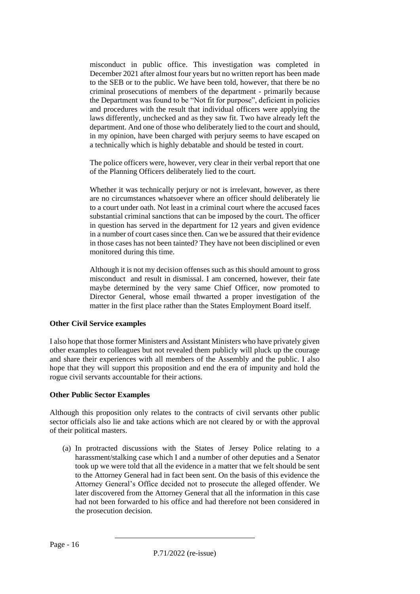misconduct in public office. This investigation was completed in December 2021 after almost four years but no written report has been made to the SEB or to the public. We have been told, however, that there be no criminal prosecutions of members of the department - primarily because the Department was found to be "Not fit for purpose", deficient in policies and procedures with the result that individual officers were applying the laws differently, unchecked and as they saw fit. Two have already left the department. And one of those who deliberately lied to the court and should, in my opinion, have been charged with perjury seems to have escaped on a technically which is highly debatable and should be tested in court.

The police officers were, however, very clear in their verbal report that one of the Planning Officers deliberately lied to the court.

Whether it was technically perjury or not is irrelevant, however, as there are no circumstances whatsoever where an officer should deliberately lie to a court under oath. Not least in a criminal court where the accused faces substantial criminal sanctions that can be imposed by the court. The officer in question has served in the department for 12 years and given evidence in a number of court cases since then. Can we be assured that their evidence in those cases has not been tainted? They have not been disciplined or even monitored during this time.

Although it is not my decision offenses such as this should amount to gross misconduct and result in dismissal. I am concerned, however, their fate maybe determined by the very same Chief Officer, now promoted to Director General, whose email thwarted a proper investigation of the matter in the first place rather than the States Employment Board itself.

#### **Other Civil Service examples**

I also hope that those former Ministers and Assistant Ministers who have privately given other examples to colleagues but not revealed them publicly will pluck up the courage and share their experiences with all members of the Assembly and the public. I also hope that they will support this proposition and end the era of impunity and hold the rogue civil servants accountable for their actions.

#### **Other Public Sector Examples**

Although this proposition only relates to the contracts of civil servants other public sector officials also lie and take actions which are not cleared by or with the approval of their political masters.

(a) In protracted discussions with the States of Jersey Police relating to a harassment/stalking case which I and a number of other deputies and a Senator took up we were told that all the evidence in a matter that we felt should be sent to the Attorney General had in fact been sent. On the basis of this evidence the Attorney General's Office decided not to prosecute the alleged offender. We later discovered from the Attorney General that all the information in this case had not been forwarded to his office and had therefore not been considered in the prosecution decision.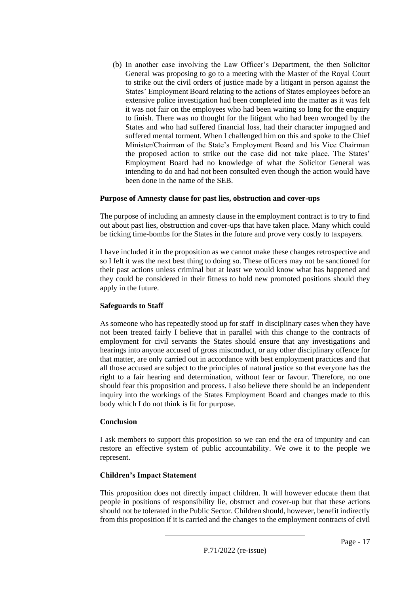(b) In another case involving the Law Officer's Department, the then Solicitor General was proposing to go to a meeting with the Master of the Royal Court to strike out the civil orders of justice made by a litigant in person against the States' Employment Board relating to the actions of States employees before an extensive police investigation had been completed into the matter as it was felt it was not fair on the employees who had been waiting so long for the enquiry to finish. There was no thought for the litigant who had been wronged by the States and who had suffered financial loss, had their character impugned and suffered mental torment. When I challenged him on this and spoke to the Chief Minister/Chairman of the State's Employment Board and his Vice Chairman the proposed action to strike out the case did not take place. The States' Employment Board had no knowledge of what the Solicitor General was intending to do and had not been consulted even though the action would have been done in the name of the SEB.

#### **Purpose of Amnesty clause for past lies, obstruction and cover-ups**

The purpose of including an amnesty clause in the employment contract is to try to find out about past lies, obstruction and cover-ups that have taken place. Many which could be ticking time-bombs for the States in the future and prove very costly to taxpayers.

I have included it in the proposition as we cannot make these changes retrospective and so I felt it was the next best thing to doing so. These officers may not be sanctioned for their past actions unless criminal but at least we would know what has happened and they could be considered in their fitness to hold new promoted positions should they apply in the future.

#### **Safeguards to Staff**

As someone who has repeatedly stood up for staff in disciplinary cases when they have not been treated fairly I believe that in parallel with this change to the contracts of employment for civil servants the States should ensure that any investigations and hearings into anyone accused of gross misconduct, or any other disciplinary offence for that matter, are only carried out in accordance with best employment practices and that all those accused are subject to the principles of natural justice so that everyone has the right to a fair hearing and determination, without fear or favour. Therefore, no one should fear this proposition and process. I also believe there should be an independent inquiry into the workings of the States Employment Board and changes made to this body which I do not think is fit for purpose.

#### **Conclusion**

I ask members to support this proposition so we can end the era of impunity and can restore an effective system of public accountability. We owe it to the people we represent.

#### **Children's Impact Statement**

This proposition does not directly impact children. It will however educate them that people in positions of responsibility lie, obstruct and cover-up but that these actions should not be tolerated in the Public Sector. Children should, however, benefit indirectly from this proposition if it is carried and the changes to the employment contracts of civil